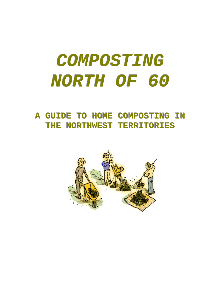# **COMPOSTING NORTH OF 60**

**A GUIDE TO HOME COMPOSTING IN** THE **NORTHWEST TERRITORIES** 

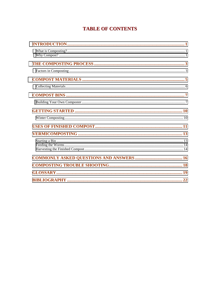# **TABLE OF CONTENTS**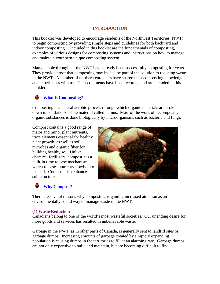# **INTRODUCTION**

<span id="page-2-0"></span>This booklet was developed to encourage residents of the Northwest Territories (NWT) to begin composting by providing simple steps and guidelines for both backyard and indoor composting. Included in this booklet are the fundamentals of composting, examples of various designs for composting systems and instructions on how to manage and maintain your own unique composting system.

Many people throughout the NWT have already been successfully composting for years. They provide proof that composting may indeed be part of the solution to reducing waste in the NWT. A number of northern gardeners have shared their composting knowledge and experiences with us. Their comments have been recorded and are included in this booklet.

# **What is Composting?**

Composting is a natural aerobic process through which organic materials are broken down into a dark, soil-like material called humus. Most of the work of decomposing organic substances is done biologically by microorganisms such as bacteria and fungi.

Compost contains a good range of major and minor plant nutrients, trace elements essential for healthy plant growth, as well as soil microbes and organic fiber for building healthy soil. Unlike chemical fertilizers, compost has a built-in time release mechanism, which releases nutrients slowly into the soil. Compost also enhances soil structure.



# **Why Compost?**

There are several reasons why composting is gaining increased attention as an environmentally sound way to manage waste in the NWT.

## **(1) Waste Reduction**

Canadians belong to one of the world's most wasteful societies. Our unending desire for more goods and services has resulted in unbelievable waste.

Garbage in the NWT, as in other parts of Canada, is generally sent to landfill sites or garbage dumps. Increasing amounts of garbage created by a rapidly expanding population is causing dumps in the territories to fill at an alarming rate. Garbage dumps are not only expensive to build and maintain, but are becoming difficult to find.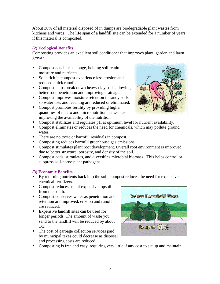About 30% of all material disposed of in dumps are biodegradable plant wastes from kitchens and yards. The life span of a landfill site can be extended for a number of years if this material is composted.

# **(2) Ecological Benefits**

Composting provides an excellent soil conditioner that improves plant, garden and lawn growth.

- **Compost acts like a sponge, helping soil retain** moisture and nutrients.
- **Soils rich in compost experience less erosion and** reduced quick runoff.
- **Compost helps break down heavy clay soils allowing** better root penetration and improving drainage.
- **Compost improves moisture retention in sandy soils** so water loss and leaching are reduced or eliminated.
- Compost promotes fertility by providing higher quantities of macro and micro nutrition, as well as improving the availability of the nutrition.



- **Compost stabilizes and regulates pH at optimum level for nutrient availability.**
- Compost eliminates or reduces the need for chemicals, which may pollute ground water.
- There are no toxic or harmful residuals in compost.
- **Composting reduces harmful greenhouse gas emissions.**
- Compost stimulates plant root development. Overall root environment is improved due to better structure, porosity, and density of the soil.
- **Compost adds, stimulates, and diversifies microbial biomass. This helps control or** suppress soil-borne plant pathogens.

# **(3) Economic Benefits**

- $-$ By returning nutrients back into the soil, compost reduces the need for expensive chemical fertilizers.
- **Compost reduces use of expensive topsoil** from the south.
- **Compost conserves water as penetration and** retention are improved, erosion and runoff are reduced.
- **Expensive landfill sites can be used for** longer periods. The amount of waste you send to the landfill will be reduced by about 1/3.
- The cost of garbage collection services paid by municipal taxes could decrease as disposal and processing costs are reduced.



• Composting is free and easy, requiring very little if any cost to set up and maintain.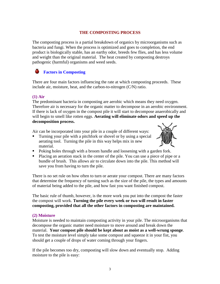# **THE COMPOSTING PROCESS**

<span id="page-4-0"></span>The composting process is a partial breakdown of organics by microorganisms such as bacteria and fungi. When the process is optimized and goes to completion, the end product is biologically stable, has an earthy odor, breeds few flies, and has less volume and weight than the original material. The heat created by composting destroys pathogenic (harmful) organisms and weed seeds.

#### o **Factors in Composting**

There are four main factors influencing the rate at which composting proceeds. These include air, moisture, heat, and the carbon-to-nitrogen (C/N) ratio.

# **(1) Air**

The predominant bacteria in composting are aerobic which means they need oxygen. Therefore air is necessary for the organic matter to decompose in an aerobic environment. If there is lack of oxygen in the compost pile it will start to decompose anaerobically and will begin to smell like rotten eggs. **Aerating will eliminate odors and speed up the decomposition process.** 

Air can be incorporated into your pile in a couple of different ways:

**Turning your pile with a pitchfork or shovel or by using a special** aerating tool. Turning the pile in this way helps mix in new material.



- Poking holes through with a broom handle and loosening with a garden fork.
- Placing an aeration stack in the center of the pile. You can use a piece of pipe or a bundle of brush. This allows air to circulate down into the pile. This method will save you from having to turn the pile.

There is no set rule on how often to turn or aerate your compost. There are many factors that determine the frequency of turning such as the size of the pile, the types and amounts of material being added to the pile, and how fast you want finished compost.

The basic rule of thumb, however, is the more work you put into the compost the faster the compost will work. **Turning the pile every week or two will result in faster composting, provided that all the other factors in composting are maintained.**

# **(2) Moisture**

Moisture is needed to maintain composting activity in your pile. The microorganisms that decompose the organic matter need moisture to move around and break down the material. **Your compost pile should be kept about as moist as a well-wrung sponge**. To test the moisture level simply take some compost and squeeze it in your fist, you should get a couple of drops of water coming through your fingers.

If the pile becomes too dry, composting will slow down and eventually stop. Adding moisture to the pile is easy: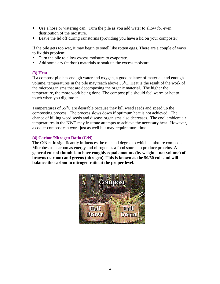- -Use a hose or watering can. Turn the pile as you add water to allow for even distribution of the moisture.
- **Leave the lid off during rainstorms (providing you have a lid on your composter).**

If the pile gets too wet, it may begin to smell like rotten eggs. There are a couple of ways to fix this problem:

- **Turn the pile to allow excess moisture to evaporate.**
- -Add some dry (carbon) materials to soak up the excess moisture.

# **(3) Heat**

If a compost pile has enough water and oxygen, a good balance of material, and enough volume, temperatures in the pile may reach above 55°C. Heat is the result of the work of the microorganisms that are decomposing the organic material. The higher the temperature, the more work being done. The compost pile should feel warm or hot to touch when you dig into it.

Temperatures of 55°C are desirable because they kill weed seeds and speed up the composting process. The process slows down if optimum heat is not achieved. The chance of killing weed seeds and disease organisms also decreases. The cool ambient air temperatures in the NWT may frustrate attempts to achieve the necessary heat. However, a cooler compost can work just as well but may require more time.

# **(4) Carbon/Nitrogen Ratio (C/N)**

The C/N ratio significantly influences the rate and degree to which a mixture composts. Microbes use carbon as energy and nitrogen as a food source to produce proteins. **A general rule of thumb is to have roughly equal amounts (by weight – not volume) of browns (carbon) and greens (nitrogen). This is known as the 50/50 rule and will balance the carbon to nitrogen ratio at the proper level.** 

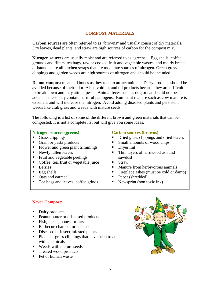# **COMPOST MATERIALS**

<span id="page-6-0"></span>**Carbon sources** are often referred to as "browns" and usually consist of dry materials. Dry leaves, dead plants, and straw are high sources of carbon for the compost mix.

**Nitrogen sources** are usually moist and are referred to as "greens". Egg shells, coffee grounds and filters, tea bags, raw or cooked fruit and vegetable wastes, and moldy bread or bannock are all kitchen scraps that are moderate sources of nitrogen. Green grass clippings and garden weeds are high sources of nitrogen and should be included.

**Do not compost** meat and bones as they tend to attract animals. Dairy products should be avoided because of their odor. Also avoid fat and oil products because they are difficult to break down and may attract pests. Animal feces such as dog or cat should not be added as these may contain harmful pathogens. Ruminant manure such as cow manure is excellent and will increase the nitrogen. Avoid adding diseased plants and persistent weeds like crab grass and weeds with mature seeds.

The following is a list of some of the different brown and green materials that can be composted. It is not a complete list but will give you some ideas.

| <b>Nitrogen sources (greens)</b>           | <b>Carbon sources (browns)</b>         |
|--------------------------------------------|----------------------------------------|
| Grass clippings<br>ш                       | Dried grass clippings and dried leaves |
| Grain or pasta products<br>п               | Small amounts of wood chips            |
| Flower and green plant trimmings           | Dryer lint                             |
| Newly fallen leaves                        | Thin layers of hardwood ash and        |
| Fruit and vegetable peelings               | sawdust                                |
| Coffee, tea, fruit or vegetable juice<br>п | Straw                                  |
| <b>Berries</b>                             | Manure from herbivorous animals        |
| Egg shells                                 | Fireplace ashes (must be cold or damp) |
| Oats and oatmeal                           | Paper (shredded)                       |
| Tea bags and leaves, coffee grinds         | Newsprint (non toxic ink)              |
|                                            |                                        |

# **Never Compost:**

- Dairy products
- **Peanut butter or oil-based products**
- **Fish, meats, bones, or fats**
- **Barbecue charcoal or coal ash**
- **•** Diseased or insect-infested plants
- Plants or grass clippings that have been treated with chemicals
- **Weeds with mature seeds**
- **Treated wood products**
- Pet or human waste

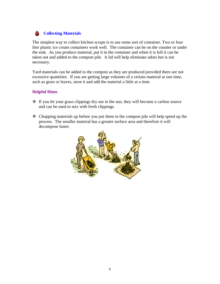#### <span id="page-7-0"></span>۵ **Collecting Materials**

The simplest way to collect kitchen scraps is to use some sort of container. Two or four liter plastic ice cream containers work well. The container can be on the counter or under the sink. As you produce material, put it in the container and when it is full it can be taken out and added to the compost pile. A lid will help eliminate odors but is not necessary.

Yard materials can be added to the compost as they are produced provided there are not excessive quantities. If you are getting large volumes of a certain material at one time, such as grass or leaves, store it and add the material a little at a time.

# **Helpful Hints**

- -If you let your grass clippings dry out in the sun, they will become a carbon source and can be used to mix with fresh clippings.
- \* Chopping materials up before you put them in the compost pile will help speed up the process. The smaller material has a greater surface area and therefore it will decompose faster.

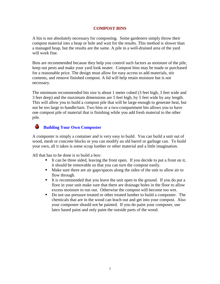## **COMPOST BINS**

<span id="page-8-0"></span>A bin is not absolutely necessary for composting. Some gardeners simply throw their compost material into a heap or hole and wait for the results. This method is slower than a managed heap, but the results are the same. A pile in a well-drained area of the yard will work fine.

Bins are recommended because they help you control such factors as moisture of the pile, keep out pests and make your yard look neater. Compost bins may be made or purchased for a reasonable price. The design must allow for easy access to add materials, stir contents, and remove finished compost. A lid will help retain moisture but is not necessary.

The minimum recommended bin size is about 1 meter cubed (3 feet high, 3 feet wide and 3 feet deep) and the maximum dimensions are 5 feet high, by 5 feet wide by any length. This will allow you to build a compost pile that will be large enough to generate heat, but not be too large to handle/turn. Two bins or a two-compartment bin allows you to have one compost pile of material that is finishing while you add fresh material to the other pile.

#### ۵ **Building Your Own Composter**

A composter is simply a container and is very easy to build. You can build a unit out of wood, mesh or concrete blocks or you can modify an old barrel or garbage can. To build your own, all it takes is some scrap lumber or other material and a little imagination.

All that has to be done is to build a box:

- -It can be three sided, leaving the front open. If you decide to put a front on it, it should be removable so that you can turn the compost easily.
- Make sure there are air gaps/spaces along the sides of the unit to allow air to flow through.
- -It is recommended that you leave the unit open to the ground. If you do put a floor in your unit make sure that there are drainage holes in the floor to allow excess moisture to run out. Otherwise the compost will become too wet.
- -Do not use pressure treated or other treated lumber to build a composter. The chemicals that are in the wood can leach out and get into your compost. Also your composter should not be painted. If you do paint your composer, use latex based paint and only paint the outside parts of the wood.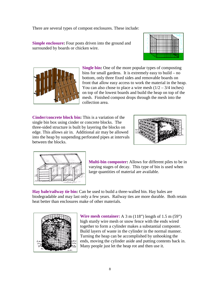There are several types of compost enclosures. These include:

**Simple enclosure:** Four posts driven into the ground and surrounded by boards or chicken wire.





**Single bin:** One of the more popular types of composting bins for small gardens. It is extremely easy to build – no bottom, only three fixed sides and removable boards on front that allow easy access to work the material in the heap. You can also chose to place a wire mesh  $(1/2 - 3/4$  inches) on top of the lowest boards and build the heap on top of the mesh. Finished compost drops through the mesh into the collection area.

**Cinder/concrete block bin:** This is a variation of the single bin box using cinder or concrete blocks. The three-sided structure is built by layering the blocks on edge. This allows air in. Additional air may be allowed into the heap by suspending perforated pipes at intervals between the blocks.





**Multi-bin composter:** Allows for different piles to be in varying stages of decay. This type of bin is used when large quantities of material are available.

**Hay bale/railway tie bin:** Can be used to build a three-walled bin. Hay bales are biodegradable and may last only a few years. Railway ties are more durable. Both retain heat better than enclosures make of other materials.



**Wire mesh container:** A 3 m (118") length of 1.5 m (59") high sturdy wire mesh or snow fence with the ends wired together to form a cylinder makes a substantial composter. Build layers of waste in the cylinder in the normal manner. Turning the heap can be accomplished by unhooking the ends, moving the cylinder aside and putting contents back in. Many people just let the heap rot and then use it.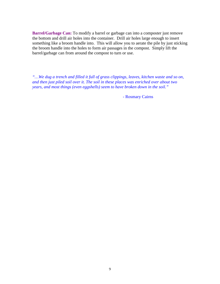**Barrel/Garbage Can:** To modify a barrel or garbage can into a composter just remove the bottom and drill air holes into the container. Drill air holes large enough to insert something like a broom handle into. This will allow you to aerate the pile by just sticking the broom handle into the holes to form air passages in the compost. Simply lift the barrel/garbage can from around the compost to turn or use.

*"…We dug a trench and filled it full of grass clippings, leaves, kitchen waste and so on, and then just piled soil over it. The soil in these places was enriched over about two years, and most things (even eggshells) seem to have broken down in the soil."* 

- Rosmary Cairns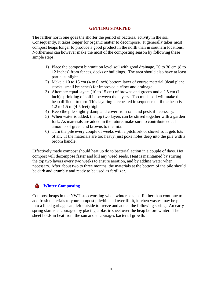## **GETTING STARTED**

<span id="page-11-0"></span>The farther north one goes the shorter the period of bacterial activity in the soil. Consequently, it takes longer for organic matter to decompose. It generally takes most compost heaps longer to produce a good product in the north than in southern locations. Northerners can however make the most of the composting season by following these simple steps.

- 1) Place the compost bin/unit on level soil with good drainage, 20 to 30 cm (8 to 12 inches) from fences, decks or buildings. The area should also have at least partial sunlight.
- 2) Make a 10 to 15 cm (4 to 6 inch) bottom layer of course material (dead plant stocks, small branches) for improved airflow and drainage.
- 3) Alternate equal layers (10 to 15 cm) of browns and greens and a 2.5 cm (1 inch) sprinkling of soil in between the layers. Too much soil will make the heap difficult to turn. This layering is repeated in sequence until the heap is 1.2 to 1.5 m (4-5 feet) high.
- 4) Keep the pile slightly damp and cover from rain and pests if necessary.
- 5) When water is added, the top two layers can be stirred together with a garden fork. As materials are added in the future, make sure to contribute equal amounts of green and browns to the mix.
- 6) Turn the pile every couple of weeks with a pitchfork or shovel so it gets lots of air. If the materials are too heavy, just poke holes deep into the pile with a broom handle.

Effectively made compost should heat up do to bacterial action in a couple of days. Hot compost will decompose faster and kill any weed seeds. Heat is maintained by stirring the top two layers every two weeks to ensure aeration, and by adding water when necessary. After about two to three months, the materials at the bottom of the pile should be dark and crumbly and ready to be used as fertilizer.

#### Ф. **Winter Composting**

Compost heaps in the NWT stop working when winter sets in. Rather than continue to add fresh materials to your compost pile/bin and over fill it, kitchen wastes may be put into a lined garbage can, left outside to freeze and added the following spring. An early spring start is encouraged by placing a plastic sheet over the heap before winter. The sheet holds in heat from the sun and encourages bacterial growth.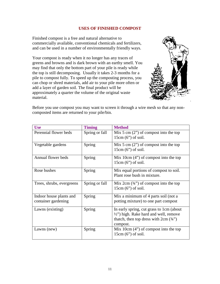## **USES OF FINISHED COMPOST**

<span id="page-12-0"></span>Finished compost is a free and natural alternative to commercially available, conventional chemicals and fertilizers, and can be used in a number of environmentally friendly ways.

Your compost is ready when it no longer has any traces of greens and browns and is dark brown with an earthy smell. You may find that only the bottom part of your pile is ready while the top is still decomposing. Usually it takes 2-3 months for a pile to compost fully. To speed up the composting process, you can chop or shred materials, add air to your pile more often or add a layer of garden soil. The final product will be approximately a quarter the volume of the original waste material.



Before you use compost you may want to screen it through a wire mesh so that any noncomposted items are returned to your pile/bin.

| <b>Use</b>                                     | <b>Timing</b>  | <b>Method</b>                                                                                                                                         |
|------------------------------------------------|----------------|-------------------------------------------------------------------------------------------------------------------------------------------------------|
| Perennial flower beds                          | Spring or fall | Mix 5 cm $(2)$ of compost into the top<br>$15cm (6")$ of soil.                                                                                        |
| Vegetable gardens                              | Spring         | Mix 5 cm $(2)$ of compost into the top<br>$15cm (6")$ of soil.                                                                                        |
| Annual flower beds                             | Spring         | Mix 10cm $(4")$ of compost into the top<br>$15cm (6")$ of soil.                                                                                       |
| Rose bushes                                    | Spring         | Mix equal portions of compost to soil.<br>Plant rose bush in mixture.                                                                                 |
| Trees, shrubs, evergreens                      | Spring or fall | Mix 2cm $(34)$ of compost into the top<br>$15cm (6")$ of soil.                                                                                        |
| Indoor house plants and<br>container gardening | Spring         | Mix a minimum of 4 parts soil (not a<br>potting mixture) to one part compost                                                                          |
| Lawns (existing)                               | Spring         | In early spring, cut grass to 1cm (about<br>$\frac{1}{2}$ ") high. Rake hard and well, remove<br>thatch, then top dress with $2cm (3/4")$<br>compost. |
| Lawns (new)                                    | Spring         | Mix 10cm $(4")$ of compost into the top<br>$15cm (6")$ of soil.                                                                                       |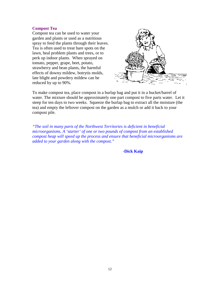#### **Compost Tea**

Compost tea can be used to water your garden and plants or used as a nutritious spray to feed the plants through their leaves. Tea is often used to treat bare spots on the lawn, heal problem plants and trees, or to perk up indoor plants. When sprayed on tomato, pepper, grape, beet, potato, strawberry and bean plants, the harmful effects of downy mildew, botrytis molds, late blight and powdery mildew can be reduced by up to 90%.



To make compost tea, place compost in a burlap bag and put it in a bucket/barrel of water. The mixture should be approximately one part compost to five parts water. Let it steep for ten days to two weeks. Squeeze the burlap bag to extract all the moisture (the tea) and empty the leftover compost on the garden as a mulch or add it back to your compost pile.

*"The soil in many parts of the Northwest Territories is deficient in beneficial microorganisms. A 'starter' of one or two pounds of compost from an established compost heap will speed up the process and ensure that beneficial microorganisms are added to your garden along with the compost."* 

**-Dick Kaip**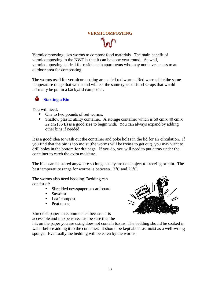# **VERMICOMPOSTING**

<span id="page-14-0"></span>Vermicomposting uses worms to compost food materials. The main benefit of vermicomposting in the NWT is that it can be done year round. As well, vermicomposting is ideal for residents in apartments who may not have access to an outdoor area for composting.

The worms used for vermicomposting are called red worms. Red worms like the same temperature range that we do and will eat the same types of food scraps that would normally be put in a backyard composter.

# **Starting a Bin**

You will need:

- One to two pounds of red worms.
- Shallow plastic utility container. A storage container which is 60 cm x 40 cm x 22 cm (36 L) is a good size to begin with. You can always expand by adding other bins if needed.

It is a good idea to wash out the container and poke holes in the lid for air circulation. If you find that the bin is too moist (the worms will be trying to get out), you may want to drill holes in the bottom for drainage. If you do, you will need to put a tray under the container to catch the extra moisture.

The bins can be stored anywhere so long as they are not subject to freezing or rain. The best temperature range for worms is between 13°C and 25°C.

The worms also need bedding. Bedding can consist of:

- **Shredded newspaper or cardboard**
- -Sawdust
- **Leaf compost**
- -Peat moss

Shredded paper is recommended because it is accessible and inexpensive. Just be sure that the



ink on the paper you are using does not contain toxins. The bedding should be soaked in water before adding it to the container. It should be kept about as moist as a well-wrung sponge. Eventually the bedding will be eaten by the worms.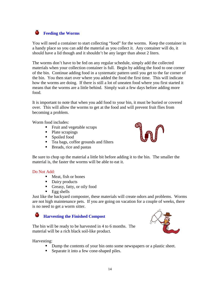#### <span id="page-15-0"></span>٥ **Feeding the Worms**

You will need a container to start collecting "food" for the worms. Keep the container in a handy place so you can add the material as you collect it. Any container will do, it should have a lid though and it shouldn't be any larger than about 2 liters.

The worms don't have to be fed on any regular schedule, simply add the collected materials when your collection container is full. Begin by adding the food to one corner of the bin. Continue adding food in a systematic pattern until you get to the far corner of the bin. You then start over where you added the food the first time. This will indicate how the worms are doing. If there is still a lot of uneaten food where you first started it means that the worms are a little behind. Simply wait a few days before adding more food.

It is important to note that when you add food to your bin, it must be buried or covered over. This will allow the worms to get at the food and will prevent fruit flies from becoming a problem.

Worm food includes:

- **Fruit and vegetable scraps**
- Plate scrapings
- **Spoiled food**
- **Tea bags, coffee grounds and filters**
- **Breads**, rice and pastas



Be sure to chop up the material a little bit before adding it to the bin. The smaller the material is, the faster the worms will be able to eat it.

## Do Not Add:

- **I** Meat, fish or bones
- Dairy products
- **Greasy**, fatty, or oily food
- Egg shells

Just like the backyard composter, these materials will create odors and problems. Worms are not high maintenance pets. If you are going on vacation for a couple of weeks, there is no need to get a worm sitter.

#### ۰ **Harvesting the Finished Compost**

The bin will be ready to be harvested in 4 to 6 months. The material will be a rich black soil-like product.



Harvesting:

- Dump the contents of your bin onto some newspapers or a plastic sheet.
- **Separate it into a few cone-shaped piles.**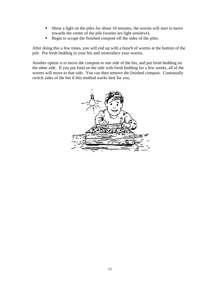- -Shine a light on the piles for about 10 minutes, the worms will start to move towards the center of the pile (worms are light sensitive).
- -Begin to scrape the finished compost off the sides of the piles.

After doing this a few times, you will end up with a bunch of worms at the bottom of the pile. Put fresh bedding in your bin and reintroduce your worms.

Another option is to move the compost to one side of the bin, and put fresh bedding on the other side. If you put food on the side with fresh bedding for a few weeks, all of the worms will move to that side. You can then remove the finished compost. Continually switch sides of the bin if this method works best for you.

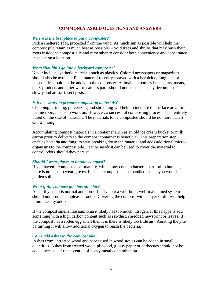#### **COMMONLY ASKED QUESTIONS AND ANSWERS**

#### <span id="page-17-0"></span>*Where is the best place to put a composter?*

Pick a sheltered spot, protected from the wind. As much sun as possible will help the compost pile retain as much heat as possible. Avoid trees and shrubs that may push their roots inside the compost pile and remember to consider both convenience and appearance in selecting a location.

#### *What shouldn't go into a backyard composter?*

Never include synthetic materials such as plastics. Colored newspapers or magazines should also be avoided. Plant material recently sprayed with a herbicide, fungicide or insecticide should not be added to the composter. Animal and poultry bones, fats, meats, dairy products and other waste carcass parts should not be used as they decompose slowly and attract insect pests.

#### *Is it necessary to prepare composting materials?*

Chopping, grinding, pulverizing and shredding will help to increase the surface area for the microorganisms to work on. However, a successful composting process is not entirely based on the size of materials. The materials to be composted should be no more than 5 cm (2") long.

Accumulating compost materials in a container such as an old ice cream bucket or milk carton prior to delivery to the compost container is beneficial. This preparation step enables bacteria and fungi to start breaking down the material and adds additional microorganisms to the compost pile. Peat or sawdust can be used to cover the material to control odors should they persist.

#### *Should I wear gloves to handle compost?*

If you haven't composted pet manure, which may contain bacteria harmful to humans, there is no need to wear gloves. Finished compost can be handled just as you would garden soil.

#### *What if the compost pile has an odor?*

An earthy smell is normal and non-offensive but a well-built, well-maintained system should not produce unpleasant odors. Covering the compost with a layer of dirt will help minimize any odors.

If the compost smells like ammonia it likely has too much nitrogen. If this happens add something with a high carbon content such as sawdust, shredded newsprint or leaves. If the compost has a rotten egg smell then it is there is likely too little air. Aerating the pile by turning it will allow additional oxygen to reach the bacteria.

#### *Can I add ashes to the compost pile?*

 Ashes from untreated wood and paper used in wood stoves can be added in small quantities. Ashes from treated wood, plywood, glossy paper or barbecues should not be added because of the potential of heavy metal contamination.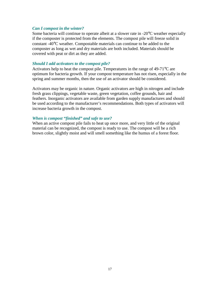#### *Can I compost in the winter?*

Some bacteria will continue to operate albeit at a slower rate in -20°C weather especially if the composter is protected from the elements. The compost pile will freeze solid in constant -40°C weather. Compostable materials can continue to be added to the composter as long as wet and dry materials are both included. Materials should be covered with peat or dirt as they are added.

### *Should I add activators to the compost pile?*

Activators help to heat the compost pile. Temperatures in the range of 49-71°C are optimum for bacteria growth. If your compost temperature has not risen, especially in the spring and summer months, then the use of an activator should be considered.

Activators may be organic in nature. Organic activators are high in nitrogen and include fresh grass clippings, vegetable waste, green vegetation, coffee grounds, hair and feathers. Inorganic activators are available from garden supply manufactures and should be used according to the manufacturer's recommendations. Both types of activators will increase bacteria growth in the compost.

### *When is compost "finished" and safe to use?*

When an active compost pile fails to heat up once more, and very little of the original material can be recognized, the compost is ready to use. The compost will be a rich brown color, slightly moist and will smell something like the humus of a forest floor.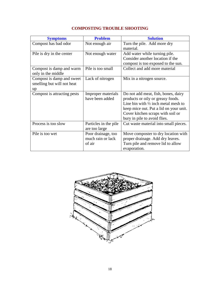<span id="page-19-0"></span>

| <b>Symptoms</b>                                               | <b>Problem</b>                                    | <b>Solution</b>                                                                                                                                                                                                                           |
|---------------------------------------------------------------|---------------------------------------------------|-------------------------------------------------------------------------------------------------------------------------------------------------------------------------------------------------------------------------------------------|
| Compost has bad odor                                          | Not enough air                                    | Turn the pile. Add more dry<br>material.                                                                                                                                                                                                  |
| Pile is dry in the center                                     | Not enough water                                  | Add water while turning pile.<br>Consider another location if the<br>compost is too exposed to the sun.                                                                                                                                   |
| Compost is damp and warm<br>only in the middle                | Pile is too small                                 | Collect and add more material                                                                                                                                                                                                             |
| Compost is damp and sweet<br>smelling but will not heat<br>up | Lack of nitrogen                                  | Mix in a nitrogen source.                                                                                                                                                                                                                 |
| Compost is attracting pests                                   | Improper materials<br>have been added             | Do not add meat, fish, bones, dairy<br>products or oily or greasy foods.<br>Line bin with $\frac{1}{2}$ inch metal mesh to<br>keep mice out. Put a lid on your unit.<br>Cover kitchen scraps with soil or<br>bury in pile to avoid flies. |
| Process is too slow                                           | Particles in the pile<br>are too large            | Cut waste material into small pieces.                                                                                                                                                                                                     |
| Pile is too wet                                               | Poor drainage, too<br>much rain or lack<br>of air | Move composter to dry location with<br>proper drainage. Add dry leaves.<br>Turn pile and remove lid to allow<br>evaporation.                                                                                                              |

# **COMPOSTING TROUBLE SHOOTING**

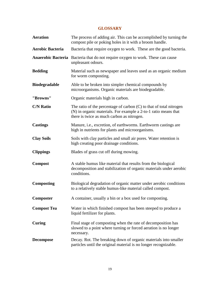# **GLOSSARY**

<span id="page-20-0"></span>

| <b>Aeration</b>         | The process of adding air. This can be accomplished by turning the<br>compost pile or poking holes in it with a broom handle.                                                          |
|-------------------------|----------------------------------------------------------------------------------------------------------------------------------------------------------------------------------------|
| <b>Aerobic Bacteria</b> | Bacteria that require oxygen to work. These are the good bacteria.                                                                                                                     |
|                         | <b>Anaerobic Bacteria</b> Bacteria that do not require oxygen to work. These can cause<br>unpleasant odours.                                                                           |
| <b>Bedding</b>          | Material such as newspaper and leaves used as an organic medium<br>for worm composting.                                                                                                |
| <b>Biodegradable</b>    | Able to be broken into simpler chemical compounds by<br>microorganisms. Organic materials are biodegradable.                                                                           |
| "Browns"                | Organic materials high in carbon.                                                                                                                                                      |
| <b>C/N Ratio</b>        | The ratio of the percentage of carbon $(C)$ to that of total nitrogen<br>(N) in organic materials. For example a 2-to-1 ratio means that<br>there is twice as much carbon as nitrogen. |
| <b>Castings</b>         | Manure, i.e., excretion, of earthworms. Earthworm castings are<br>high in nutrients for plants and microorganisms.                                                                     |
| <b>Clay Soils</b>       | Soils with clay particles and small air pores. Water retention is<br>high creating poor drainage conditions.                                                                           |
| <b>Clippings</b>        | Blades of grass cut off during mowing.                                                                                                                                                 |
| <b>Compost</b>          | A stable humus like material that results from the biological<br>decomposition and stabilization of organic materials under aerobic<br>conditions.                                     |
| <b>Composting</b>       | Biological degradation of organic matter under aerobic conditions<br>to a relatively stable humus-like material called compost.                                                        |
| Composter               | A container, usually a bin or a box used for composting.                                                                                                                               |
| <b>Compost Tea</b>      | Water in which finished compost has been steeped to produce a<br>liquid fertilizer for plants.                                                                                         |
| Curing                  | Final stage of composting when the rate of decomposition has<br>slowed to a point where turning or forced aeration is no longer<br>necessary.                                          |
| <b>Decompose</b>        | Decay. Rot. The breaking down of organic materials into smaller<br>particles until the original material is no longer recognizable.                                                    |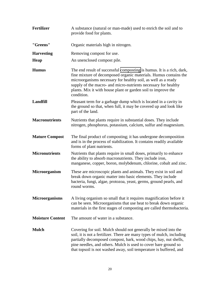| <b>Fertilizer</b>       | A substance (natural or man-made) used to enrich the soil and to<br>provide food for plants.                                                                                                                                                                                                                                                                |
|-------------------------|-------------------------------------------------------------------------------------------------------------------------------------------------------------------------------------------------------------------------------------------------------------------------------------------------------------------------------------------------------------|
| "Greens"                | Organic materials high in nitrogen.                                                                                                                                                                                                                                                                                                                         |
| <b>Harvesting</b>       | Removing compost for use.                                                                                                                                                                                                                                                                                                                                   |
| <b>Heap</b>             | An unenclosed compost pile.                                                                                                                                                                                                                                                                                                                                 |
| <b>Humus</b>            | The end result of successful composting is humus. It is a rich, dark,<br>fine mixture of decomposed organic materials. Humus contains the<br>microorganisms necessary for healthy soil, as well as a ready<br>supply of the macro- and micro-nutrients necessary for healthy<br>plants. Mix it with house plant or garden soil to improve the<br>condition. |
| <b>Landfill</b>         | Pleasant term for a garbage dump which is located in a cavity in<br>the ground so that, when full, it may be covered up and look like<br>part of the land.                                                                                                                                                                                                  |
| <b>Macronutrients</b>   | Nutrients that plants require in substantial doses. They include<br>nitrogen, phosphorus, potassium, calcium, sulfur and magnesium.                                                                                                                                                                                                                         |
| <b>Mature Compost</b>   | The final product of composting; it has undergone decomposition<br>and is in the process of stabilization. It contains readily available<br>forms of plant nutrients.                                                                                                                                                                                       |
| <b>Micronutrients</b>   | Nutrients that plants require in small doses, primarily to enhance<br>the ability to absorb macronutrients. They include iron,<br>manganese, copper, boron, molybdenum, chlorine, cobalt and zinc.                                                                                                                                                          |
| Microorganism           | These are microscopic plants and animals. They exist in soil and<br>break down organic matter into basic elements. They include<br>bacteria, fungi, algae, protozoa, yeast, germs, ground pearls, and<br>round worms.                                                                                                                                       |
| <b>Microorganisms</b>   | A living organism so small that it requires magnification before it<br>can be seen. Microorganisms that use heat to break down organic<br>materials in the first stages of composting are called thermobacteria.                                                                                                                                            |
| <b>Moisture Content</b> | The amount of water in a substance.                                                                                                                                                                                                                                                                                                                         |
| <b>Mulch</b>            | Covering for soil. Mulch should not generally be mixed into the<br>soil, it is not a fertilizer. There are many types of mulch, including<br>partially decomposed compost, bark, wood chips, hay, nut shells,<br>pine needles, and others. Mulch is used to cover bare ground so<br>that topsoil is not washed away, soil temperature is buffered, and      |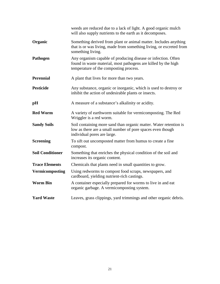|                         | weeds are reduced due to a lack of light. A good organic mulch<br>will also supply nutrients to the earth as it decomposes.                                               |
|-------------------------|---------------------------------------------------------------------------------------------------------------------------------------------------------------------------|
| Organic                 | Something derived from plant or animal matter. Includes anything<br>that is or was living, made from something living, or excreted from<br>something living.              |
| Pathogen                | Any organism capable of producing disease or infection. Often<br>found in waste material, most pathogens are killed by the high<br>temperature of the composting process. |
| <b>Perennial</b>        | A plant that lives for more than two years.                                                                                                                               |
| <b>Pesticide</b>        | Any substance, organic or inorganic, which is used to destroy or<br>inhibit the action of undesirable plants or insects.                                                  |
| pН                      | A measure of a substance's alkalinity or acidity.                                                                                                                         |
| <b>Red Worm</b>         | A variety of earthworm suitable for vermicomposting. The Red<br>Wriggler is a red worm.                                                                                   |
| <b>Sandy Soils</b>      | Soil containing more sand than organic matter. Water retention is<br>low as there are a small number of pore spaces even though<br>individual pores are large.            |
| <b>Screening</b>        | To sift out uncomposted matter from humus to create a fine<br>compost.                                                                                                    |
| <b>Soil Conditioner</b> | Something that enriches the physical condition of the soil and<br>increases its organic content.                                                                          |
| <b>Trace Elements</b>   | Chemicals that plants need in small quantities to grow.                                                                                                                   |
| <b>Vermicomposting</b>  | Using redworms to compost food scraps, newspapers, and<br>cardboard, yielding nutrient-rich castings.                                                                     |
| <b>Worm Bin</b>         | A container especially prepared for worms to live in and eat<br>organic garbage. A vermicomposting system.                                                                |
| <b>Yard Waste</b>       | Leaves, grass clippings, yard trimmings and other organic debris.                                                                                                         |